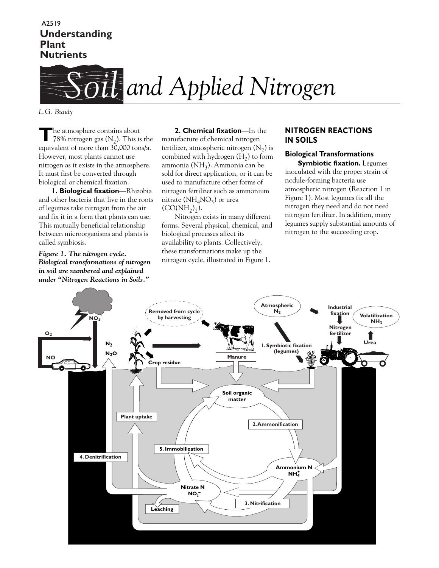# **Understanding Plant Nutrients** A2519



*L.G. Bundy*

**T**he atmosphere contains about 78% nitrogen gas  $(N_2)$ . This is the equivalent of more than 30,000 tons/a. However, most plants cannot use nitrogen as it exists in the atmosphere. It must first be converted through biological or chemical fixation.

**1. Biological fixation**—Rhizobia and other bacteria that live in the roots of legumes take nitrogen from the air and fix it in a form that plants can use. This mutually beneficial relationship between microorganisms and plants is called symbiosis.

*Figure 1. The nitrogen cycle. Biological transformations of nitrogen in soil are numbered and explained under "Nitrogen Reactions in Soils."*

**2. Chemical fixation**—In the manufacture of chemical nitrogen fertilizer, atmospheric nitrogen  $(N_2)$  is combined with hydrogen  $(H_2)$  to form ammonia (NH<sub>3</sub>). Ammonia can be sold for direct application, or it can be used to manufacture other forms of nitrogen fertilizer such as ammonium nitrate ( $NH<sub>4</sub>NO<sub>3</sub>$ ) or urea  $(CO(NH_2)_2)$ .

Nitrogen exists in many different forms. Several physical, chemical, and biological processes affect its availability to plants. Collectively, these transformations make up the nitrogen cycle, illustrated in Figure 1.

## **NITROGEN REACTIONS IN SOILS**

## **Biological Transformations Symbiotic fixation.** Legumes

inoculated with the proper strain of nodule-forming bacteria use atmospheric nitrogen (Reaction 1 in Figure 1). Most legumes fix all the nitrogen they need and do not need nitrogen fertilizer. In addition, many legumes supply substantial amounts of nitrogen to the succeeding crop.

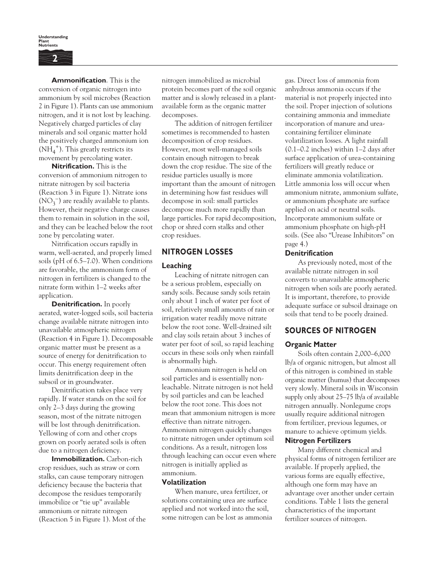**Understanding Plant Nutrients 2**

**Ammonification**. This is the conversion of organic nitrogen into ammonium by soil microbes (Reaction 2 in Figure 1). Plants can use ammonium nitrogen, and it is not lost by leaching. Negatively charged particles of clay minerals and soil organic matter hold the positively charged ammonium ion  $(N\bar{H}_4^{\ +}).$  This greatly restricts its movement by percolating water.

**Nitrification.** This is the conversion of ammonium nitrogen to nitrate nitrogen by soil bacteria (Reaction 3 in Figure 1). Nitrate ions  $\rm (NO_3^-)$  are readily available to plants. However, their negative charge causes them to remain in solution in the soil, and they can be leached below the root zone by percolating water.

Nitrification occurs rapidly in warm, well-aerated, and properly limed soils (pH of 6.5–7.0). When conditions are favorable, the ammonium form of nitrogen in fertilizers is changed to the nitrate form within 1–2 weeks after application.

**Denitrification.** In poorly aerated, water-logged soils, soil bacteria change available nitrate nitrogen into unavailable atmospheric nitrogen (Reaction 4 in Figure 1). Decomposable organic matter must be present as a source of energy for denitrification to occur. This energy requirement often limits denitrification deep in the subsoil or in groundwater.

Denitrification takes place very rapidly. If water stands on the soil for only 2–3 days during the growing season, most of the nitrate nitrogen will be lost through denitrification. Yellowing of corn and other crops grown on poorly aerated soils is often due to a nitrogen deficiency.

**Immobilization.** Carbon-rich crop residues, such as straw or corn stalks, can cause temporary nitrogen deficiency because the bacteria that decompose the residues temporarily immobilize or "tie up" available ammonium or nitrate nitrogen (Reaction 5 in Figure 1). Most of the nitrogen immobilized as microbial protein becomes part of the soil organic matter and is slowly released in a plantavailable form as the organic matter decomposes.

The addition of nitrogen fertilizer sometimes is recommended to hasten decomposition of crop residues. However, most well-managed soils contain enough nitrogen to break down the crop residue. The size of the residue particles usually is more important than the amount of nitrogen in determining how fast residues will decompose in soil: small particles decompose much more rapidly than large particles. For rapid decomposition, chop or shred corn stalks and other crop residues.

## **NITROGEN LOSSES**

### **Leaching**

Leaching of nitrate nitrogen can be a serious problem, especially on sandy soils. Because sandy soils retain only about 1 inch of water per foot of soil, relatively small amounts of rain or irrigation water readily move nitrate below the root zone. Well-drained silt and clay soils retain about 3 inches of water per foot of soil, so rapid leaching occurs in these soils only when rainfall is abnormally high.

Ammonium nitrogen is held on soil particles and is essentially nonleachable. Nitrate nitrogen is not held by soil particles and can be leached below the root zone. This does not mean that ammonium nitrogen is more effective than nitrate nitrogen. Ammonium nitrogen quickly changes to nitrate nitrogen under optimum soil conditions. As a result, nitrogen loss through leaching can occur even where nitrogen is initially applied as ammonium.

### **Volatilization**

When manure, urea fertilizer, or solutions containing urea are surface applied and not worked into the soil, some nitrogen can be lost as ammonia

gas. Direct loss of ammonia from anhydrous ammonia occurs if the material is not properly injected into the soil. Proper injection of solutions containing ammonia and immediate incorporation of manure and ureacontaining fertilizer eliminate volatilization losses. A light rainfall (0.1–0.2 inches) within 1–2 days after surface application of urea-containing fertilizers will greatly reduce or eliminate ammonia volatilization. Little ammonia loss will occur when ammonium nitrate, ammonium sulfate, or ammonium phosphate are surface applied on acid or neutral soils. Incorporate ammonium sulfate or ammonium phosphate on high-pH soils. (See also "Urease Inhibitors" on page 4.)

### **Denitrification**

As previously noted, most of the available nitrate nitrogen in soil converts to unavailable atmospheric nitrogen when soils are poorly aerated. It is important, therefore, to provide adequate surface or subsoil drainage on soils that tend to be poorly drained.

# **SOURCES OF NITROGEN**

## **Organic Matter**

Soils often contain 2,000–6,000 lb/a of organic nitrogen, but almost all of this nitrogen is combined in stable organic matter (humus) that decomposes very slowly. Mineral soils in Wisconsin supply only about 25–75 lb/a of available nitrogen annually. Nonlegume crops usually require additional nitrogen from fertilizer, previous legumes, or manure to achieve optimum yields.

### **Nitrogen Fertilizers**

Many different chemical and physical forms of nitrogen fertilizer are available. If properly applied, the various forms are equally effective, although one form may have an advantage over another under certain conditions. Table 1 lists the general characteristics of the important fertilizer sources of nitrogen.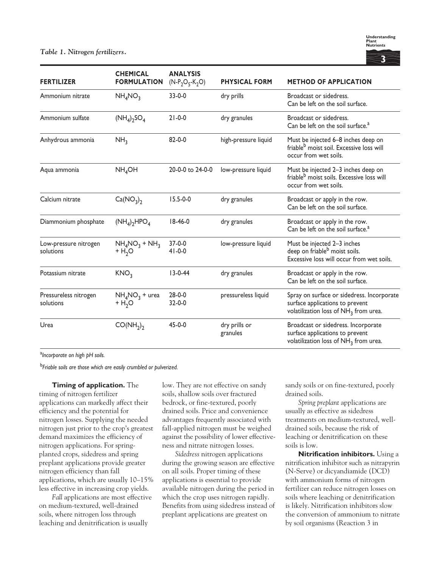

| <b>FERTILIZER</b>                  | <b>CHEMICAL</b><br><b>FORMULATION</b> | <b>ANALYSIS</b><br>$(N-P_2O_5-K_2O)$ | <b>PHYSICAL FORM</b>      | <b>METHOD OF APPLICATION</b>                                                                                                       |  |
|------------------------------------|---------------------------------------|--------------------------------------|---------------------------|------------------------------------------------------------------------------------------------------------------------------------|--|
| Ammonium nitrate                   | NH <sub>4</sub> NO <sub>3</sub>       | $33 - 0 - 0$                         | dry prills                | Broadcast or sidedress.<br>Can be left on the soil surface.                                                                        |  |
| Ammonium sulfate                   | $(NH_4)_2SO_4$                        | $21 - 0 - 0$                         | dry granules              | Broadcast or sidedress.<br>Can be left on the soil surface. <sup>a</sup>                                                           |  |
| Anhydrous ammonia                  | NH <sub>3</sub>                       | $82 - 0 - 0$                         | high-pressure liquid      | Must be injected 6-8 inches deep on<br>friable <sup>b</sup> moist soil. Excessive loss will<br>occur from wet soils.               |  |
| Aqua ammonia                       | NH <sub>4</sub> OH                    | 20-0-0 to 24-0-0                     | low-pressure liquid       | Must be injected 2-3 inches deep on<br>friable <sup>b</sup> moist soils. Excessive loss will<br>occur from wet soils.              |  |
| Calcium nitrate                    | Ca(NO <sub>3</sub> ) <sub>2</sub>     | $15.5 - 0 - 0$                       | dry granules              | Broadcast or apply in the row.<br>Can be left on the soil surface.                                                                 |  |
| Diammonium phosphate               | $(NH_4)_2HPO_4$                       | $18-46-0$                            | dry granules              | Broadcast or apply in the row.<br>Can be left on the soil surface. <sup>a</sup>                                                    |  |
| Low-pressure nitrogen<br>solutions | $NH_4NO_3 + NH_3$<br>$+ H2O$          | $37-0-0$<br>$41 - 0 - 0$             | low-pressure liquid       | Must be injected 2-3 inches<br>deep on friable <sup>b</sup> moist soils.<br>Excessive loss will occur from wet soils.              |  |
| Potassium nitrate                  | KNO <sub>3</sub>                      | $13 - 0 - 44$                        | dry granules              | Broadcast or apply in the row.<br>Can be left on the soil surface.                                                                 |  |
| Pressureless nitrogen<br>solutions | $NH_4NO_3$ + urea<br>$+ H2O$          | $28 - 0 - 0$<br>$32 - 0 - 0$         | pressureless liquid       | Spray on surface or sidedress. Incorporate<br>surface applications to prevent<br>volatilization loss of NH <sub>3</sub> from urea. |  |
| Urea                               | CO(NH <sub>2</sub> ) <sub>2</sub>     | $45 - 0 - 0$                         | dry prills or<br>granules | Broadcast or sidedress. Incorporate<br>surface applications to prevent<br>volatilization loss of NH <sub>3</sub> from urea.        |  |

a *Incorporate on high pH soils.*

<sup>b</sup>*Friable soils are those which are easily crumbled or pulverized.*

**Timing of application.** The timing of nitrogen fertilizer applications can markedly affect their efficiency and the potential for nitrogen losses. Supplying the needed nitrogen just prior to the crop's greatest demand maximizes the efficiency of nitrogen applications. For springplanted crops, sidedress and spring preplant applications provide greater nitrogen efficiency than fall applications, which are usually 10–15% less effective in increasing crop yields.

*Fall* applications are most effective on medium-textured, well-drained soils, where nitrogen loss through leaching and denitrification is usually

low. They are *not* effective on sandy soils, shallow soils over fractured bedrock, or fine-textured, poorly drained soils. Price and convenience advantages frequently associated with fall-applied nitrogen must be weighed against the possibility of lower effectiveness and nitrate nitrogen losses.

*Sidedress* nitrogen applications during the growing season are effective on all soils. Proper timing of these applications is essential to provide available nitrogen during the period in which the crop uses nitrogen rapidly. Benefits from using sidedress instead of preplant applications are greatest on

sandy soils or on fine-textured, poorly drained soils.

*Spring preplant* applications are usually as effective as sidedress treatments on medium-textured, welldrained soils, because the risk of leaching or denitrification on these soils is low.

**Nitrification inhibitors.** Using a nitrification inhibitor such as nitrapyrin (N-Serve) or dicyandiamide (DCD) with ammonium forms of nitrogen fertilizer can reduce nitrogen losses on soils where leaching or denitrification is likely. Nitrification inhibitors slow the conversion of ammonium to nitrate by soil organisms (Reaction 3 in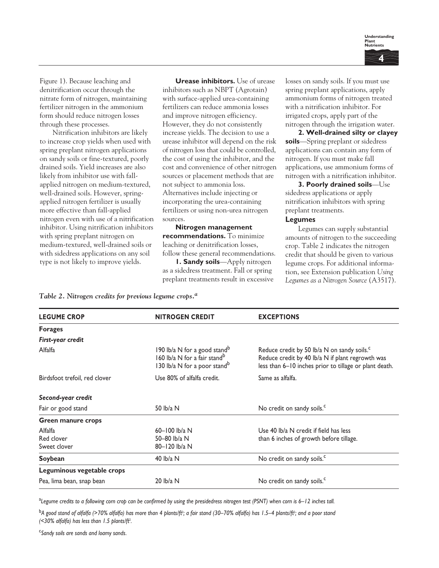

Figure 1). Because leaching and denitrification occur through the nitrate form of nitrogen, maintaining fertilizer nitrogen in the ammonium form should reduce nitrogen losses through these processes.

Nitrification inhibitors are likely to increase crop yields when used with spring preplant nitrogen applications on sandy soils or fine-textured, poorly drained soils. Yield increases are also likely from inhibitor use with fallapplied nitrogen on medium-textured, well-drained soils. However, springapplied nitrogen fertilizer is usually more effective than fall-applied nitrogen even with use of a nitrification inhibitor. Using nitrification inhibitors with spring preplant nitrogen on medium-textured, well-drained soils or with sidedress applications on any soil type is not likely to improve yields.

**Urease inhibitors.** Use of urease inhibitors such as NBPT (Agrotain) with surface-applied urea-containing fertilizers can reduce ammonia losses and improve nitrogen efficiency. However, they do not consistently increase yields. The decision to use a urease inhibitor will depend on the risk of nitrogen loss that could be controlled, the cost of using the inhibitor, and the cost and convenience of other nitrogen sources or placement methods that are not subject to ammonia loss. Alternatives include injecting or incorporating the urea-containing fertilizers or using non-urea nitrogen sources.

**Nitrogen management recommendations.** To minimize leaching or denitrification losses, follow these general recommendations.

**1. Sandy soils**—Apply nitrogen as a sidedress treatment. Fall or spring preplant treatments result in excessive losses on sandy soils. If you must use spring preplant applications, apply ammonium forms of nitrogen treated with a nitrification inhibitor. For irrigated crops, apply part of the nitrogen through the irrigation water.

**2. Well-drained silty or clayey soils**—Spring preplant or sidedress applications can contain any form of nitrogen. If you must make fall applications, use ammonium forms of nitrogen with a nitrification inhibitor.

**3. Poorly drained soils**—Use sidedress applications or apply nitrification inhibitors with spring preplant treatments.

#### **Legumes**

Legumes can supply substantial amounts of nitrogen to the succeeding crop. Table 2 indicates the nitrogen credit that should be given to various legume crops. For additional information, see Extension publication *Using Legumes as a Nitrogen Source* (A3517).

| Table 2. Nitrogen credits for previous legume crops. $^a$ |  |  |
|-----------------------------------------------------------|--|--|
|                                                           |  |  |

| <b>LEGUME CROP</b>            | <b>NITROGEN CREDIT</b>                                                                                                           | <b>EXCEPTIONS</b>                                                                                                                                                     |  |  |
|-------------------------------|----------------------------------------------------------------------------------------------------------------------------------|-----------------------------------------------------------------------------------------------------------------------------------------------------------------------|--|--|
| <b>Forages</b>                |                                                                                                                                  |                                                                                                                                                                       |  |  |
| First-year credit             |                                                                                                                                  |                                                                                                                                                                       |  |  |
| Alfalfa                       | 190 lb/a N for a good stand <sup>b</sup><br>160 lb/a N for a fair stand <sup>b</sup><br>130 lb/a N for a poor stand <sup>b</sup> | Reduce credit by 50 lb/a N on sandy soils. <sup>c</sup><br>Reduce credit by 40 lb/a N if plant regrowth was<br>less than 6-10 inches prior to tillage or plant death. |  |  |
| Birdsfoot trefoil, red clover | Use 80% of alfalfa credit.                                                                                                       | Same as alfalfa.                                                                                                                                                      |  |  |
| Second-year credit            |                                                                                                                                  |                                                                                                                                                                       |  |  |
| Fair or good stand            | 50 $\frac{b}{a}$ N                                                                                                               | No credit on sandy soils. <sup>c</sup>                                                                                                                                |  |  |
| <b>Green manure crops</b>     |                                                                                                                                  |                                                                                                                                                                       |  |  |
| Alfalfa                       | $60 - 100$ lb/a N                                                                                                                | Use 40 lb/a N credit if field has less                                                                                                                                |  |  |
| Red clover                    | 50-80 lb/a N<br>than 6 inches of growth before tillage.                                                                          |                                                                                                                                                                       |  |  |
| Sweet clover                  | 80-120 lb/a N                                                                                                                    |                                                                                                                                                                       |  |  |
| Soybean                       | 40 $lb/a$ N                                                                                                                      | No credit on sandy soils. <sup>c</sup>                                                                                                                                |  |  |
| Leguminous vegetable crops    |                                                                                                                                  |                                                                                                                                                                       |  |  |
| Pea, lima bean, snap bean     | 20 $lb/a$ N                                                                                                                      | No credit on sandy soils. <sup>c</sup>                                                                                                                                |  |  |

a *Legume credits to a following corn crop can be confirmed by using the presidedress nitrogen test (PSNT) when corn is 6–12 inches tall.*

<sup>b</sup>*A good stand of alfalfa (>70% alfalfa) has more than 4 plants/ft*<sup>2</sup> *; a fair stand (30–70% alfalfa) has 1.5–4 plants/ft*<sup>2</sup> *; and a poor stand (<30% alfalfa) has less than 1.5 plants/ft*<sup>2</sup> *.*

c *Sandy soils are sands and loamy sands*.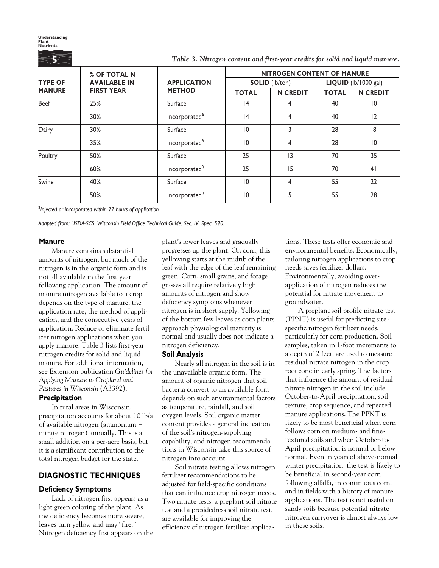*Table 3. Nitrogen content and first-year credits for solid and liquid manure.* **% OF TOTAL N APPLICATION NITROGEN CONTENT OF MANURE**<br> **APPLICATION SOLID** (Ib/ton) **LIQUID** (Ib/1000 **TYPE OF AVAILABLE IN APPLICATION SOLID** (lb/ton) LIQUID (lb/1000 gal)<br> **MANURE** FIRST YEAR METHOD TOTAL IN CREDIT TOTAL IN CREDI **MANURE FIRST YEAR METHOD TOTAL N CREDIT TOTAL N CREDIT** Beef | 25% | Surface | 14 | 4 | 40 | 10  $30\%$  Incorporated<sup>a</sup> | 14 4 40 | 12 Dairy 30% Surface 10 3 28 8  $35\%$  Incorporated<sup>a</sup> | 10 4 | 28 | 10 Poultry 50% Surface 25 13 70 35 60% Incorporated<sup>a</sup> 25 15 70 41 Swine 40% Surface 10 4 55 22 **Understanding Plant Nutrients 5**

a *Injected or incorporated within 72 hours of application.*

*Adapted from: USDA-SCS. Wisconsin Field Office Technical Guide. Sec. IV. Spec. 590.*

#### **Manure**

Manure contains substantial amounts of nitrogen, but much of the nitrogen is in the organic form and is not all available in the first year following application. The amount of manure nitrogen available to a crop depends on the type of manure, the application rate, the method of application, and the consecutive years of application. Reduce or eliminate fertilizer nitrogen applications when you apply manure. Table 3 lists first-year nitrogen credits for solid and liquid manure. For additional information, see Extension publication *Guidelines for Applying Manure to Cropland and Pastures in Wisconsin* (A3392).

## **Precipitation**

In rural areas in Wisconsin, precipitation accounts for about 10 lb/a of available nitrogen (ammonium + nitrate nitrogen) annually. This is a small addition on a per-acre basis, but it is a significant contribution to the total nitrogen budget for the state.

## **DIAGNOSTIC TECHNIQUES**

## **Deficiency Symptoms**

Lack of nitrogen first appears as a light green coloring of the plant. As the deficiency becomes more severe, leaves turn yellow and may "fire." Nitrogen deficiency first appears on the plant's lower leaves and gradually progresses up the plant. On corn, this yellowing starts at the midrib of the leaf with the edge of the leaf remaining green. Corn, small grains, and forage grasses all require relatively high amounts of nitrogen and show deficiency symptoms whenever nitrogen is in short supply. Yellowing of the bottom few leaves as corn plants approach physiological maturity is normal and usually does not indicate a nitrogen deficiency.

 $50\%$  Incorporated<sup>a</sup> | 10 | 5 | 55 | 28

#### **Soil Analysis**

Nearly all nitrogen in the soil is in the unavailable organic form. The amount of organic nitrogen that soil bacteria convert to an available form depends on such environmental factors as temperature, rainfall, and soil oxygen levels. Soil organic matter content provides a general indication of the soil's nitrogen-supplying capability, and nitrogen recommendations in Wisconsin take this source of nitrogen into account.

Soil nitrate testing allows nitrogen fertilizer recommendations to be adjusted for field-specific conditions that can influence crop nitrogen needs. Two nitrate tests, a preplant soil nitrate test and a presidedress soil nitrate test, are available for improving the efficiency of nitrogen fertilizer applications. These tests offer economic and environmental benefits. Economically, tailoring nitrogen applications to crop needs saves fertilizer dollars. Environmentally, avoiding overapplication of nitrogen reduces the potential for nitrate movement to groundwater.

A preplant soil profile nitrate test (PPNT) is useful for predicting sitespecific nitrogen fertilizer needs, particularly for corn production. Soil samples, taken in 1-foot increments to a depth of 2 feet, are used to measure residual nitrate nitrogen in the crop root zone in early spring. The factors that influence the amount of residual nitrate nitrogen in the soil include October-to-April precipitation, soil texture, crop sequence, and repeated manure applications. The PPNT is likely to be most beneficial when corn follows corn on medium- and finetextured soils and when October-to-April precipitation is normal or below normal. Even in years of above-normal winter precipitation, the test is likely to be beneficial in second-year corn following alfalfa, in continuous corn, and in fields with a history of manure applications. The test is not useful on sandy soils because potential nitrate nitrogen carryover is almost always low in these soils.